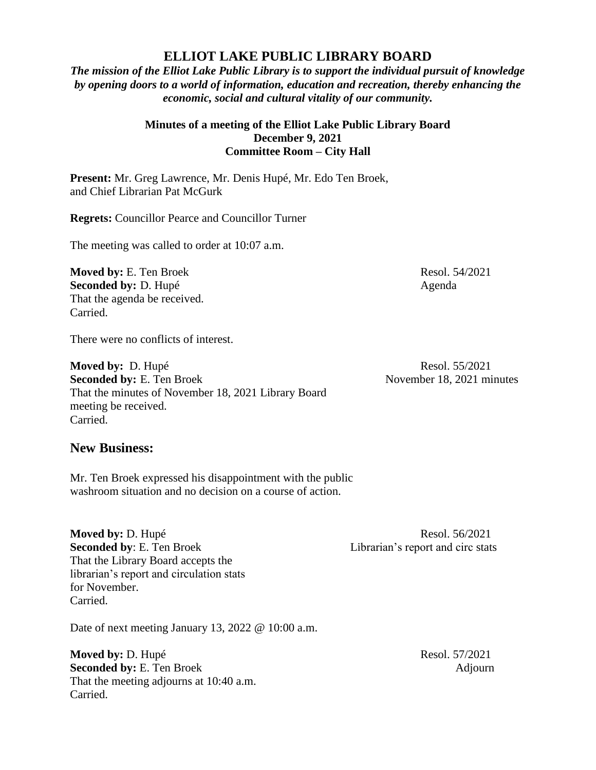## **ELLIOT LAKE PUBLIC LIBRARY BOARD**

*The mission of the Elliot Lake Public Library is to support the individual pursuit of knowledge by opening doors to a world of information, education and recreation, thereby enhancing the economic, social and cultural vitality of our community.*

## **Minutes of a meeting of the Elliot Lake Public Library Board December 9, 2021 Committee Room – City Hall**

**Present:** Mr. Greg Lawrence, Mr. Denis Hupé, Mr. Edo Ten Broek, and Chief Librarian Pat McGurk

**Regrets:** Councillor Pearce and Councillor Turner

The meeting was called to order at 10:07 a.m.

**Moved by:** E. Ten Broek Resol. 54/2021 **Seconded by:** D. Hupé Agenda That the agenda be received. Carried.

There were no conflicts of interest.

**Moved by:** D. Hupé Resol. 55/2021 **Seconded by:** E. Ten Broek November 18, 2021 minutes That the minutes of November 18, 2021 Library Board meeting be received. Carried.

## **New Business:**

Mr. Ten Broek expressed his disappointment with the public washroom situation and no decision on a course of action.

**Moved by: D. Hupé Resol. 56/2021 Seconded by:** E. Ten Broek Librarian's report and circ stats That the Library Board accepts the librarian's report and circulation stats for November. Carried.

Date of next meeting January 13, 2022 @ 10:00 a.m.

**Moved by:** D. Hupé Resol. 57/2021 **Seconded by:** E. Ten Broek Adjourn That the meeting adjourns at 10:40 a.m. Carried.